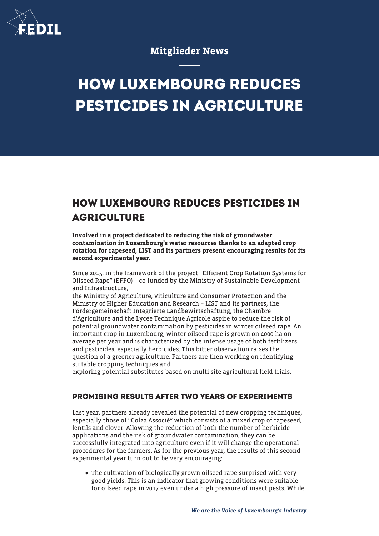

## Mitglieder News

# **HOW LUXEMBOURG REDUCES PESTICIDES IN AGRICULTURE**

# **HOW LUXEMBOURG REDUCES PESTICIDES IN AGRICULTURE**

Involved in a project dedicated to reducing the risk of groundwater contamination in Luxembourg's water resources thanks to an adapted crop rotation for rapeseed, LIST and its partners present encouraging results for its second experimental year.

Since 2015, in the framework of the project "Efficient Crop Rotation Systems for Oilseed Rape" (EFFO) – co-funded by the Ministry of Sustainable Development and Infrastructure,

the Ministry of Agriculture, Viticulture and Consumer Protection and the Ministry of Higher Education and Research – LIST and its partners, the Fördergemeinschaft Integrierte Landbewirtschaftung, the Chambre d'Agriculture and the Lycée Technique Agricole aspire to reduce the risk of potential groundwater contamination by pesticides in winter oilseed rape. An important crop in Luxembourg, winter oilseed rape is grown on 4000 ha on average per year and is characterized by the intense usage of both fertilizers and pesticides, especially herbicides. This bitter observation raises the question of a greener agriculture. Partners are then working on identifying suitable cropping techniques and

exploring potential substitutes based on multi-site agricultural field trials.

#### **PROMISING RESULTS AFTER TWO YEARS OF EXPERIMENTS**

Last year, partners already revealed the potential of new cropping techniques, especially those of "Colza Associé" which consists of a mixed crop of rapeseed, lentils and clover. Allowing the reduction of both the number of herbicide applications and the risk of groundwater contamination, they can be successfully integrated into agriculture even if it will change the operational procedures for the farmers. As for the previous year, the results of this second experimental year turn out to be very encouraging:

The cultivation of biologically grown oilseed rape surprised with very good yields. This is an indicator that growing conditions were suitable for oilseed rape in 2017 even under a high pressure of insect pests. While